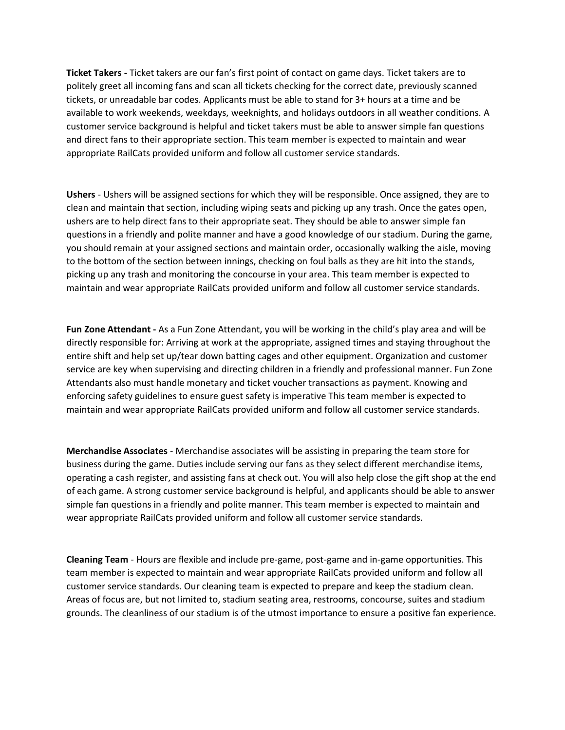**Ticket Takers -** Ticket takers are our fan's first point of contact on game days. Ticket takers are to politely greet all incoming fans and scan all tickets checking for the correct date, previously scanned tickets, or unreadable bar codes. Applicants must be able to stand for 3+ hours at a time and be available to work weekends, weekdays, weeknights, and holidays outdoors in all weather conditions. A customer service background is helpful and ticket takers must be able to answer simple fan questions and direct fans to their appropriate section. This team member is expected to maintain and wear appropriate RailCats provided uniform and follow all customer service standards.

**Ushers** - Ushers will be assigned sections for which they will be responsible. Once assigned, they are to clean and maintain that section, including wiping seats and picking up any trash. Once the gates open, ushers are to help direct fans to their appropriate seat. They should be able to answer simple fan questions in a friendly and polite manner and have a good knowledge of our stadium. During the game, you should remain at your assigned sections and maintain order, occasionally walking the aisle, moving to the bottom of the section between innings, checking on foul balls as they are hit into the stands, picking up any trash and monitoring the concourse in your area. This team member is expected to maintain and wear appropriate RailCats provided uniform and follow all customer service standards.

**Fun Zone Attendant -** As a Fun Zone Attendant, you will be working in the child's play area and will be directly responsible for: Arriving at work at the appropriate, assigned times and staying throughout the entire shift and help set up/tear down batting cages and other equipment. Organization and customer service are key when supervising and directing children in a friendly and professional manner. Fun Zone Attendants also must handle monetary and ticket voucher transactions as payment. Knowing and enforcing safety guidelines to ensure guest safety is imperative This team member is expected to maintain and wear appropriate RailCats provided uniform and follow all customer service standards.

**Merchandise Associates** - Merchandise associates will be assisting in preparing the team store for business during the game. Duties include serving our fans as they select different merchandise items, operating a cash register, and assisting fans at check out. You will also help close the gift shop at the end of each game. A strong customer service background is helpful, and applicants should be able to answer simple fan questions in a friendly and polite manner. This team member is expected to maintain and wear appropriate RailCats provided uniform and follow all customer service standards.

**Cleaning Team** - Hours are flexible and include pre-game, post-game and in-game opportunities. This team member is expected to maintain and wear appropriate RailCats provided uniform and follow all customer service standards. Our cleaning team is expected to prepare and keep the stadium clean. Areas of focus are, but not limited to, stadium seating area, restrooms, concourse, suites and stadium grounds. The cleanliness of our stadium is of the utmost importance to ensure a positive fan experience.